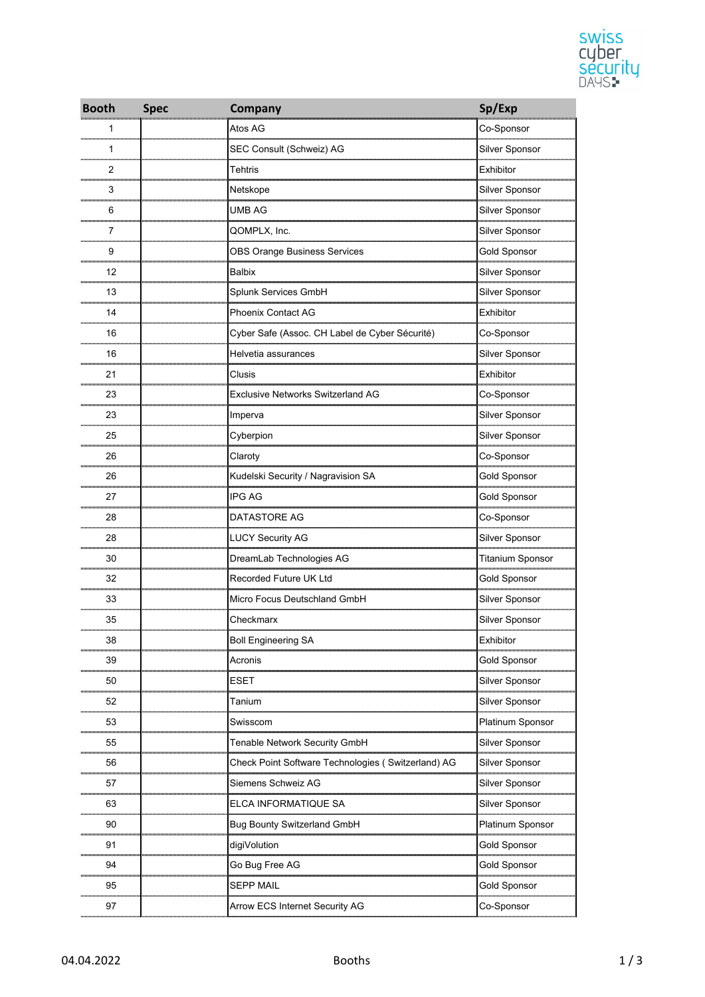

| <b>Booth</b> | <b>Spec</b> | Company                                            | Sp/Exp                  |
|--------------|-------------|----------------------------------------------------|-------------------------|
| 1            |             | Atos AG                                            | Co-Sponsor              |
| 1            |             | SEC Consult (Schweiz) AG                           | Silver Sponsor          |
| 2            |             | Tehtris                                            | Exhibitor               |
| 3            |             | Netskope                                           | Silver Sponsor          |
| 6            |             | UMB AG                                             | Silver Sponsor          |
| 7            |             | QOMPLX, Inc.                                       | Silver Sponsor          |
| 9            |             | <b>OBS Orange Business Services</b>                | <b>Gold Sponsor</b>     |
| 12           |             | Balbix                                             | Silver Sponsor          |
| 13           |             | Splunk Services GmbH                               | Silver Sponsor          |
| 14           |             | <b>Phoenix Contact AG</b>                          | Exhibitor               |
| 16           |             | Cyber Safe (Assoc. CH Label de Cyber Sécurité)     | Co-Sponsor              |
| 16           |             | Helvetia assurances                                | Silver Sponsor          |
| 21           |             | Clusis                                             | Exhibitor               |
| 23           |             | <b>Exclusive Networks Switzerland AG</b>           | Co-Sponsor              |
| 23           |             | Imperva                                            | Silver Sponsor          |
| 25           |             | Cyberpion                                          | Silver Sponsor          |
| 26           |             | Claroty                                            | Co-Sponsor              |
| 26           |             | Kudelski Security / Nagravision SA                 | Gold Sponsor            |
| 27           |             | <b>IPG AG</b>                                      | <b>Gold Sponsor</b>     |
| 28           |             | DATASTORE AG                                       | Co-Sponsor              |
| 28           |             | <b>LUCY Security AG</b>                            | Silver Sponsor          |
| 30           |             | DreamLab Technologies AG                           | <b>Titanium Sponsor</b> |
| 32           |             | Recorded Future UK Ltd                             | Gold Sponsor            |
| 33           |             | Micro Focus Deutschland GmbH                       | Silver Sponsor          |
| 35           |             | Checkmarx                                          | Silver Sponsor          |
| 38           |             | <b>Boll Engineering SA</b>                         | Exhibitor               |
| 39           |             | Acronis                                            | <b>Gold Sponsor</b>     |
| 50           |             | <b>ESET</b>                                        | Silver Sponsor          |
| 52           |             | Tanium                                             | Silver Sponsor          |
| 53           |             | Swisscom                                           | Platinum Sponsor        |
| 55           |             | Tenable Network Security GmbH                      | Silver Sponsor          |
| 56           |             | Check Point Software Technologies (Switzerland) AG | Silver Sponsor          |
| 57           |             | Siemens Schweiz AG                                 | Silver Sponsor          |
| 63           |             | ELCA INFORMATIQUE SA                               | Silver Sponsor          |
| 90           |             | <b>Bug Bounty Switzerland GmbH</b>                 | Platinum Sponsor        |
| 91           |             | digiVolution                                       | Gold Sponsor            |
| 94           |             | Go Bug Free AG                                     | Gold Sponsor            |
| 95           |             | <b>SEPP MAIL</b>                                   | Gold Sponsor            |
| 97           |             | Arrow ECS Internet Security AG                     | Co-Sponsor              |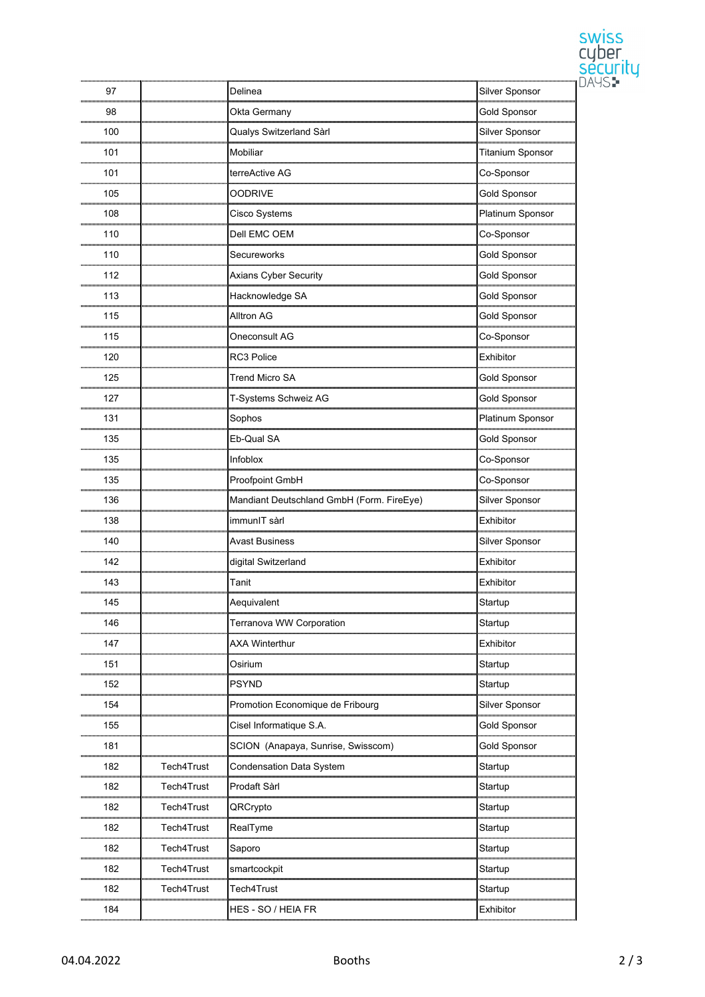|     |            |                                           |                         | <b>SWISS</b>               |
|-----|------------|-------------------------------------------|-------------------------|----------------------------|
|     |            |                                           |                         | cyber<br>security<br>DAYS: |
|     |            |                                           |                         |                            |
| 97  |            | Delinea                                   | Silver Sponsor          |                            |
| 98  |            | Okta Germany                              | <b>Gold Sponsor</b>     |                            |
| 100 |            | Qualys Switzerland Sàrl                   | Silver Sponsor          |                            |
| 101 |            | Mobiliar                                  | <b>Titanium Sponsor</b> |                            |
| 101 |            | terreActive AG                            | Co-Sponsor              |                            |
| 105 |            | <b>OODRIVE</b>                            | <b>Gold Sponsor</b>     |                            |
| 108 |            | Cisco Systems                             | Platinum Sponsor        |                            |
| 110 |            | Dell EMC OEM                              | Co-Sponsor              |                            |
| 110 |            | Secureworks                               | <b>Gold Sponsor</b>     |                            |
| 112 |            | Axians Cyber Security                     | <b>Gold Sponsor</b>     |                            |
| 113 |            | Hacknowledge SA                           | <b>Gold Sponsor</b>     |                            |
| 115 |            | <b>Alltron AG</b>                         | <b>Gold Sponsor</b>     |                            |
| 115 |            | Oneconsult AG                             | Co-Sponsor              |                            |
| 120 |            | RC3 Police                                | Exhibitor               |                            |
| 125 |            | <b>Trend Micro SA</b>                     | <b>Gold Sponsor</b>     |                            |
| 127 |            |                                           |                         |                            |
|     |            | T-Systems Schweiz AG                      | <b>Gold Sponsor</b>     |                            |
| 131 |            | Sophos                                    | Platinum Sponsor        |                            |
| 135 |            | Eb-Qual SA                                | <b>Gold Sponsor</b>     |                            |
| 135 |            | Infoblox                                  | Co-Sponsor              |                            |
| 135 |            | Proofpoint GmbH                           | Co-Sponsor              |                            |
| 136 |            | Mandiant Deutschland GmbH (Form. FireEye) | Silver Sponsor          |                            |
| 138 |            | immunIT sàrl                              | Exhibitor               |                            |
| 140 |            | <b>Avast Business</b>                     | Silver Sponsor          |                            |
| 142 |            | digital Switzerland                       | Exhibitor               |                            |
| 143 |            | Tanit                                     | Exhibitor               |                            |
| 145 |            | Aequivalent                               | Startup                 |                            |
| 146 |            | Terranova WW Corporation                  | Startup                 |                            |
| 147 |            | <b>AXA Winterthur</b>                     | Exhibitor               |                            |
| 151 |            | Osirium                                   | Startup                 |                            |
| 152 |            | <b>PSYND</b>                              | Startup                 |                            |
| 154 |            | Promotion Economique de Fribourg          | Silver Sponsor          |                            |
| 155 |            | Cisel Informatique S.A.                   | <b>Gold Sponsor</b>     |                            |
| 181 |            | SCION (Anapaya, Sunrise, Swisscom)        | <b>Gold Sponsor</b>     |                            |
| 182 | Tech4Trust | <b>Condensation Data System</b>           | Startup                 |                            |
| 182 | Tech4Trust | Prodaft Sàrl                              | Startup                 |                            |
| 182 | Tech4Trust | QRCrypto                                  | Startup                 |                            |
| 182 | Tech4Trust | RealTyme                                  | Startup                 |                            |
| 182 | Tech4Trust | Saporo                                    | Startup                 |                            |
| 182 | Tech4Trust | smartcockpit                              | Startup                 |                            |
| 182 | Tech4Trust | Tech4Trust                                | Startup                 |                            |
| 184 |            | HES - SO / HEIA FR                        | Exhibitor               |                            |